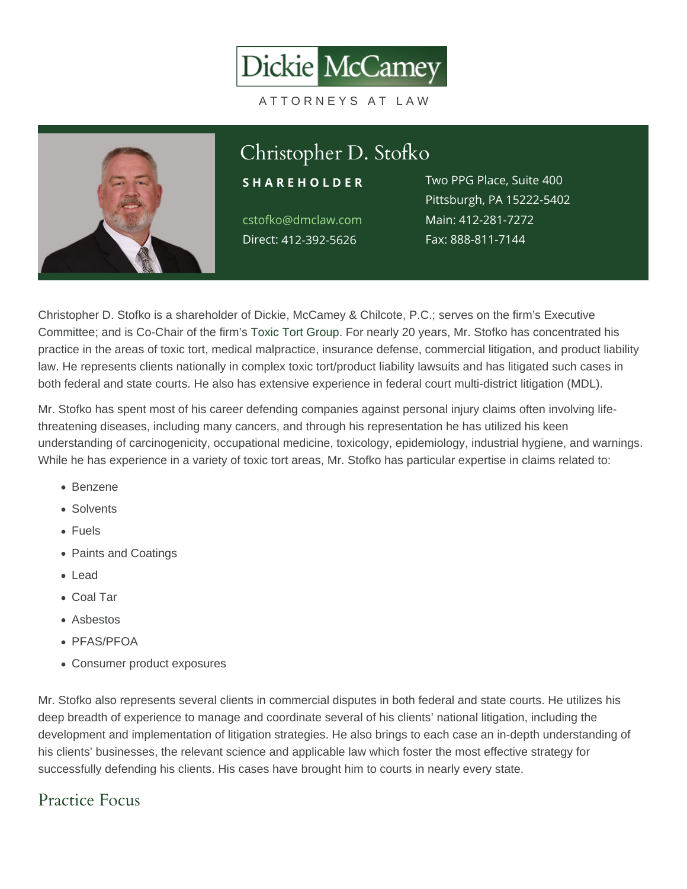#### Christopher D. Stofko S H A R E H O L D E RWO PPG Place, Suite 400 cstofko@dmclaw.com Main4:12-281-7272 Direc4t12-392-5626 Pittsburgh, PA 15222-5402 Fax: 888-811-7144

Christopher D. Stofko is a shareholder of Dickie, McCamey & Chilcote, P.C.; serves on the firm's Executive Committee; and is Co-Chair of the firm's [Toxic Tort Group](/practices/toxic-tort/). For nearly 20 years, Mr. Stofko has concentrated his practice in the areas of toxic tort, medical malpractice, insurance defense, commercial litigation, and product liability law. He represents clients nationally in complex toxic tort/product liability lawsuits and has litigated such cases in both federal and state courts. He also has extensive experience in federal court multi-district litigation (MDL).

Mr. Stofko has spent most of his career defending companies against personal injury claims often involving lifethreatening diseases, including many cancers, and through his representation he has utilized his keen understanding of carcinogenicity, occupational medicine, toxicology, epidemiology, industrial hygiene, and warnings. While he has experience in a variety of toxic tort areas, Mr. Stofko has particular expertise in claims related to:

- Benzene
- Solvents
- Fuels
- Paints and Coatings
- Lead
- Coal Tar
- Asbestos
- PFAS/PFOA
- Consumer product exposures

Mr. Stofko also represents several clients in commercial disputes in both federal and state courts. He utilizes his deep breadth of experience to manage and coordinate several of his clients' national litigation, including the development and implementation of litigation strategies. He also brings to each case an in-depth understanding of his clients' businesses, the relevant science and applicable law which foster the most effective strategy for successfully defending his clients. His cases have brought him to courts in nearly every state.

# Practice Focus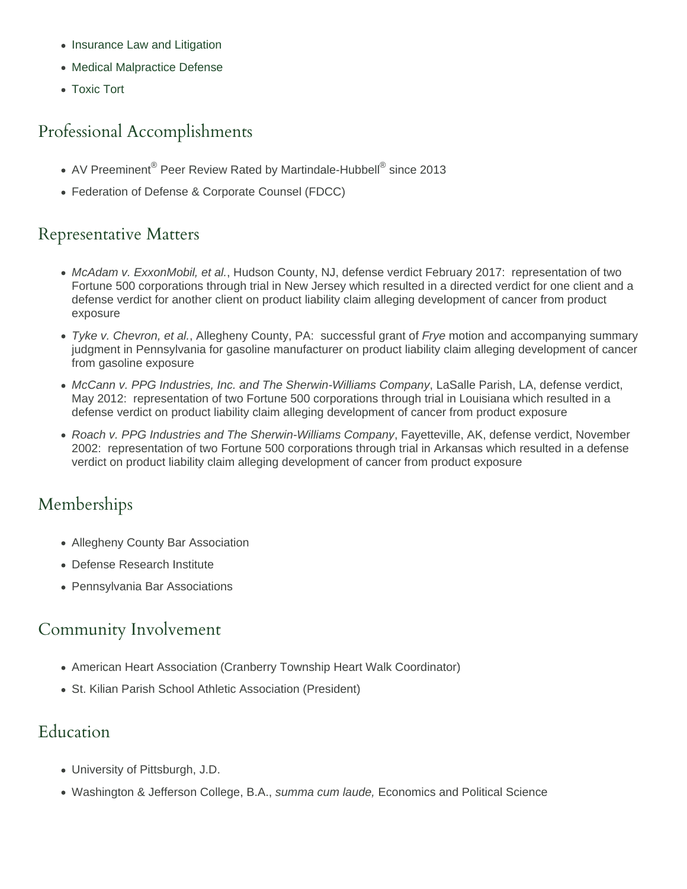- [Insurance Law and Litigation](https://www.dmclaw.com/practices/insurance-law-and-litigation/)
- [Medical Malpractice Defense](https://www.dmclaw.com/practices/medical-malpractice-defense/)
- [Toxic Tort](https://www.dmclaw.com/practices/toxic-tort/)

# Professional Accomplishments

- AV Preeminent® Peer Review Rated by Martindale-Hubbell® since 2013
- Federation of Defense & Corporate Counsel (FDCC)

### Representative Matters

- McAdam v. ExxonMobil, et al., Hudson County, NJ, defense verdict February 2017: representation of two Fortune 500 corporations through trial in New Jersey which resulted in a directed verdict for one client and a defense verdict for another client on product liability claim alleging development of cancer from product exposure
- Tyke v. Chevron, et al., Allegheny County, PA: successful grant of Frye motion and accompanying summary judgment in Pennsylvania for gasoline manufacturer on product liability claim alleging development of cancer from gasoline exposure
- McCann v. PPG Industries, Inc. and The Sherwin-Williams Company, LaSalle Parish, LA, defense verdict, May 2012: representation of two Fortune 500 corporations through trial in Louisiana which resulted in a defense verdict on product liability claim alleging development of cancer from product exposure
- Roach v. PPG Industries and The Sherwin-Williams Company, Fayetteville, AK, defense verdict, November 2002: representation of two Fortune 500 corporations through trial in Arkansas which resulted in a defense verdict on product liability claim alleging development of cancer from product exposure

# Memberships

- Allegheny County Bar Association
- Defense Research Institute
- Pennsylvania Bar Associations

# Community Involvement

- American Heart Association (Cranberry Township Heart Walk Coordinator)
- St. Kilian Parish School Athletic Association (President)

# Education

- University of Pittsburgh, J.D.
- Washington & Jefferson College, B.A., summa cum laude, Economics and Political Science